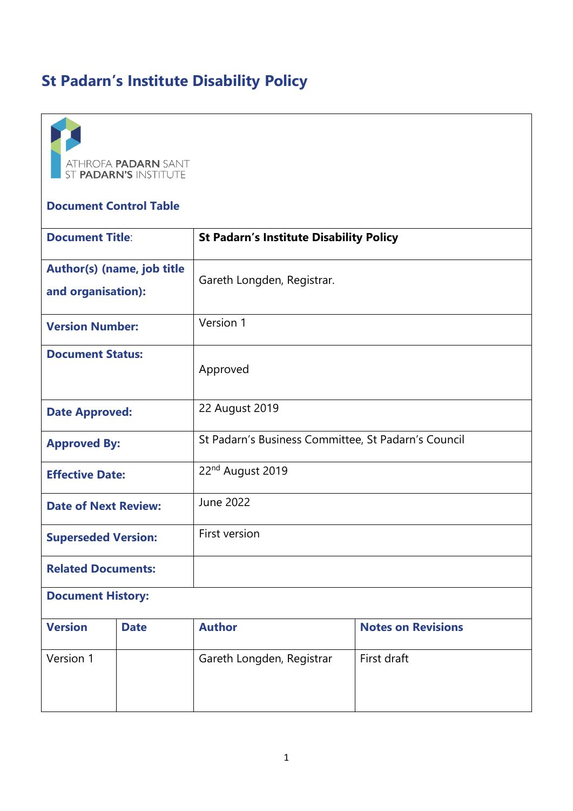# **St Padarn's Institute Disability Polic[y](https://www.mdx.ac.uk/__data/assets/pdf_file/0022/414229/LTC16-56-paper-student-disability-policy-FINAL.pdf#page=1)**



#### **Document Control Table**

| <b>Document Title:</b>                           |             | <b>St Padarn's Institute Disability Policy</b>      |                           |
|--------------------------------------------------|-------------|-----------------------------------------------------|---------------------------|
| Author(s) (name, job title<br>and organisation): |             | Gareth Longden, Registrar.                          |                           |
| <b>Version Number:</b>                           |             | Version 1                                           |                           |
| <b>Document Status:</b>                          |             | Approved                                            |                           |
| <b>Date Approved:</b>                            |             | 22 August 2019                                      |                           |
| <b>Approved By:</b>                              |             | St Padarn's Business Committee, St Padarn's Council |                           |
| <b>Effective Date:</b>                           |             | 22 <sup>nd</sup> August 2019                        |                           |
| <b>Date of Next Review:</b>                      |             | <b>June 2022</b>                                    |                           |
| <b>Superseded Version:</b>                       |             | First version                                       |                           |
| <b>Related Documents:</b>                        |             |                                                     |                           |
| <b>Document History:</b>                         |             |                                                     |                           |
| <b>Version</b>                                   | <b>Date</b> | <b>Author</b>                                       | <b>Notes on Revisions</b> |
| Version 1                                        |             | Gareth Longden, Registrar                           | First draft               |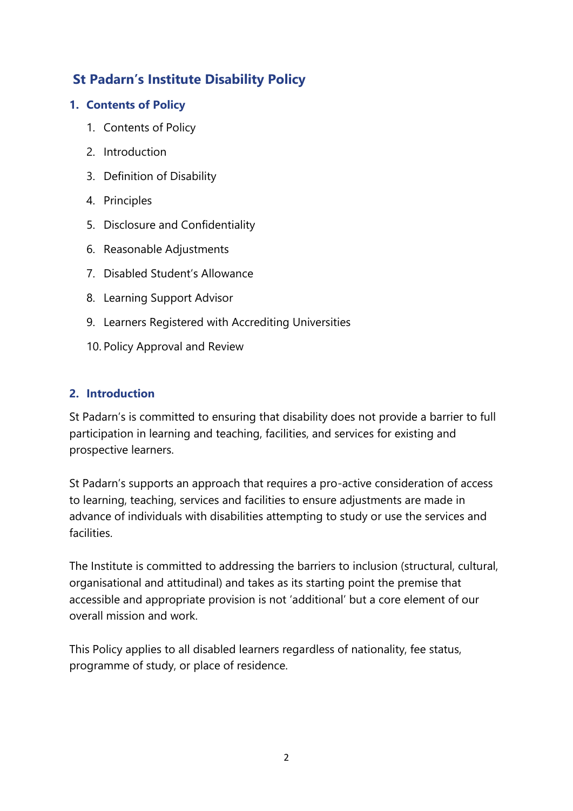# **St Padarn's Institute Disability Policy**

# **1. Contents of Policy**

- 1. Contents of Policy
- 2. Introduction
- 3. Definition of Disability
- 4. Principles
- 5. Disclosure and Confidentiality
- 6. Reasonable Adjustments
- 7. Disabled Student's Allowance
- 8. Learning Support Advisor
- 9. Learners Registered with Accrediting Universities
- 10. Policy Approval and Review

### **2. Introduction**

St Padarn's is committed to ensuring that disability does not provide a barrier to full participation in learning and teaching, facilities, and services for existing and prospective learners.

St Padarn's supports an approach that requires a pro-active consideration of access to learning, teaching, services and facilities to ensure adjustments are made in advance of individuals with disabilities attempting to study or use the services and facilities.

The Institute is committed to addressing the barriers to inclusion (structural, cultural, organisational and attitudinal) and takes as its starting point the premise that accessible and appropriate provision is not 'additional' but a core element of our overall mission and work.

This Policy applies to all disabled learners regardless of nationality, fee status, programme of study, or place of residence.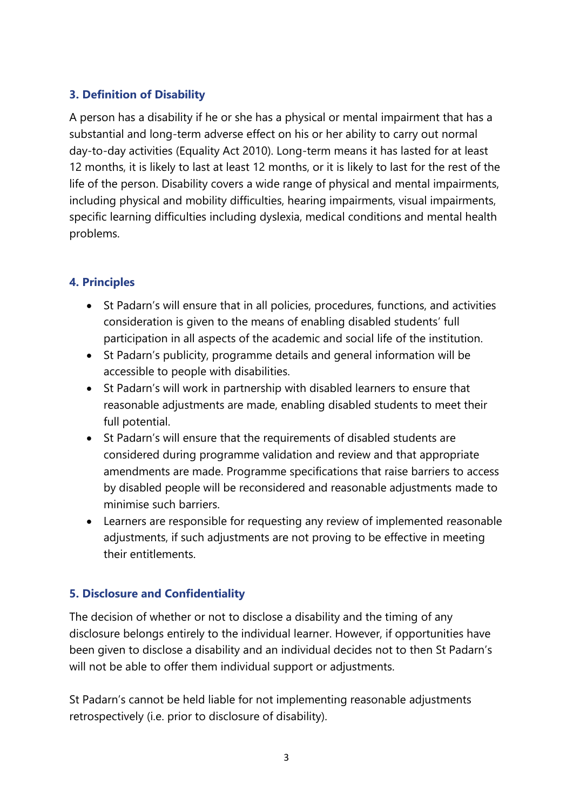# **3. Definition of Disability**

A person has a disability if he or she has a physical or mental impairment that has a substantial and long-term adverse effect on his or her ability to carry out normal day-to-day activities (Equality Act 2010). Long-term means it has lasted for at least 12 months, it is likely to last at least 12 months, or it is likely to last for the rest of the life of the person. Disability covers a wide range of physical and mental impairments, including physical and mobility difficulties, hearing impairments, visual impairments, specific learning difficulties including dyslexia, medical conditions and mental health problems.

# **4. Principles**

- St Padarn's will ensure that in all policies, procedures, functions, and activities consideration is given to the means of enabling disabled students' full participation in all aspects of the academic and social life of the institution.
- St Padarn's publicity, programme details and general information will be accessible to people with disabilities.
- St Padarn's will work in partnership with disabled learners to ensure that reasonable adjustments are made, enabling disabled students to meet their full potential.
- St Padarn's will ensure that the requirements of disabled students are considered during programme validation and review and that appropriate amendments are made. Programme specifications that raise barriers to access by disabled people will be reconsidered and reasonable adjustments made to minimise such barriers.
- Learners are responsible for requesting any review of implemented reasonable adjustments, if such adjustments are not proving to be effective in meeting their entitlements.

# **5. Disclosure and Confidentiality**

The decision of whether or not to disclose a disability and the timing of any disclosure belongs entirely to the individual learner. However, if opportunities have been given to disclose a disability and an individual decides not to then St Padarn's will not be able to offer them individual support or adjustments.

St Padarn's cannot be held liable for not implementing reasonable adjustments retrospectively (i.e. prior to disclosure of disability).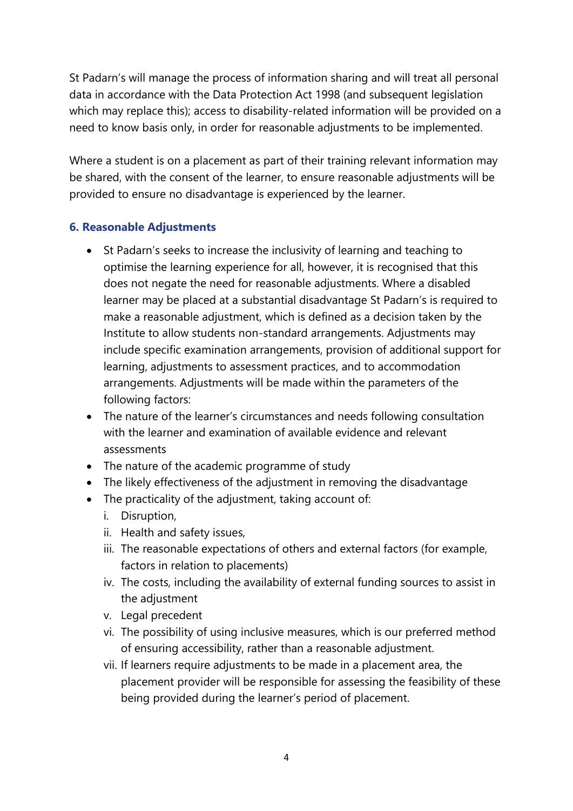St Padarn's will manage the process of information sharing and will treat all personal data in accordance with the Data Protection Act 1998 (and subsequent legislation which may replace this); access to disability-related information will be provided on a need to know basis only, in order for reasonable adjustments to be implemented.

Where a student is on a placement as part of their training relevant information may be shared, with the consent of the learner, to ensure reasonable adjustments will be provided to ensure no disadvantage is experienced by the learner.

### **6. Reasonable Adjustments**

- St Padarn's seeks to increase the inclusivity of learning and teaching to optimise the learning experience for all, however, it is recognised that this does not negate the need for reasonable adjustments. Where a disabled learner may be placed at a substantial disadvantage St Padarn's is required to make a reasonable adjustment, which is defined as a decision taken by the Institute to allow students non-standard arrangements. Adjustments may include specific examination arrangements, provision of additional support for learning, adjustments to assessment practices, and to accommodation arrangements. Adjustments will be made within the parameters of the following factors:
- The nature of the learner's circumstances and needs following consultation with the learner and examination of available evidence and relevant assessments
- The nature of the academic programme of study
- The likely effectiveness of the adjustment in removing the disadvantage
- The practicality of the adjustment, taking account of:
	- i. Disruption,
	- ii. Health and safety issues,
	- iii. The reasonable expectations of others and external factors (for example, factors in relation to placements)
	- iv. The costs, including the availability of external funding sources to assist in the adjustment
	- v. Legal precedent
	- vi. The possibility of using inclusive measures, which is our preferred method of ensuring accessibility, rather than a reasonable adjustment.
	- vii. If learners require adjustments to be made in a placement area, the placement provider will be responsible for assessing the feasibility of these being provided during the learner's period of placement.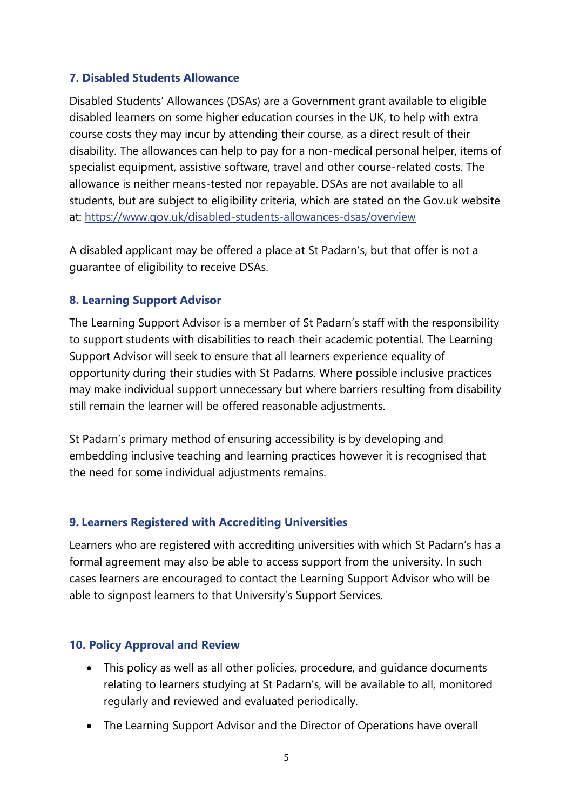#### **7. Disabled Students Allowance**

Disabled Students' Allowances (DSAs) are a Government grant available to eligible disabled learners on some higher education courses in the UK, to help with extra course costs they may incur by attending their course, as a direct result of their disability. The allowances can help to pay for a non-medical personal helper, items of specialist equipment, assistive software, travel and other course-related costs. The allowance is neither means-tested nor repayable. DSAs are not available to all students, but are subject to eligibility criteria, which are stated on the Gov.uk website at: <https://www.gov.uk/disabled-students-allowances-dsas/overview>

A disabled applicant may be offered a place at St Padarn's, but that offer is not a guarantee of eligibility to receive DSAs.

#### **8. Learning Support Advisor**

The Learning Support Advisor is a member of St Padarn's staff with the responsibility to support students with disabilities to reach their academic potential. The Learning Support Advisor will seek to ensure that all learners experience equality of opportunity during their studies with St Padarns. Where possible inclusive practices may make individual support unnecessary but where barriers resulting from disability still remain the learner will be offered reasonable adjustments.

St Padarn's primary method of ensuring accessibility is by developing and embedding inclusive teaching and learning practices however it is recognised that the need for some individual adjustments remains.

#### **9. Learners Registered with Accrediting Universities**

Learners who are registered with accrediting universities with which St Padarn's has a formal agreement may also be able to access support from the university. In such cases learners are encouraged to contact the Learning Support Advisor who will be able to signpost learners to that University's Support Services.

#### **10. Policy Approval and Review**

- This policy as well as all other policies, procedure, and guidance documents relating to learners studying at St Padarn's, will be available to all, monitored regularly and reviewed and evaluated periodically.
- The Learning Support Advisor and the Director of Operations have overall